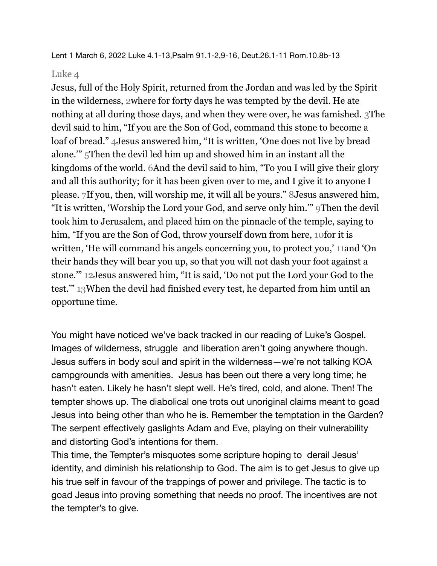Lent 1 March 6, 2022 Luke 4.1-13,Psalm 91.1-2,9-16, Deut.26.1-11 Rom.10.8b-13

## Luke 4

Jesus, full of the Holy Spirit, returned from the Jordan and was led by the Spirit in the wilderness, 2where for forty days he was tempted by the devil. He ate nothing at all during those days, and when they were over, he was famished. 3The devil said to him, "If you are the Son of God, command this stone to become a loaf of bread." 4Jesus answered him, "It is written, 'One does not live by bread alone.'" 5Then the devil led him up and showed him in an instant all the kingdoms of the world. 6And the devil said to him, "To you I will give their glory and all this authority; for it has been given over to me, and I give it to anyone I please. 7If you, then, will worship me, it will all be yours." 8Jesus answered him, "It is written, 'Worship the Lord your God, and serve only him.'" 9Then the devil took him to Jerusalem, and placed him on the pinnacle of the temple, saying to him, "If you are the Son of God, throw yourself down from here, 10for it is written, 'He will command his angels concerning you, to protect you,' 11and 'On their hands they will bear you up, so that you will not dash your foot against a stone.'" 12Jesus answered him, "It is said, 'Do not put the Lord your God to the test.'" 13When the devil had finished every test, he departed from him until an opportune time.

You might have noticed we've back tracked in our reading of Luke's Gospel. Images of wilderness, struggle and liberation aren't going anywhere though. Jesus suffers in body soul and spirit in the wilderness—we're not talking KOA campgrounds with amenities. Jesus has been out there a very long time; he hasn't eaten. Likely he hasn't slept well. He's tired, cold, and alone. Then! The tempter shows up. The diabolical one trots out unoriginal claims meant to goad Jesus into being other than who he is. Remember the temptation in the Garden? The serpent effectively gaslights Adam and Eve, playing on their vulnerability and distorting God's intentions for them.

This time, the Tempter's misquotes some scripture hoping to derail Jesus' identity, and diminish his relationship to God. The aim is to get Jesus to give up his true self in favour of the trappings of power and privilege. The tactic is to goad Jesus into proving something that needs no proof. The incentives are not the tempter's to give.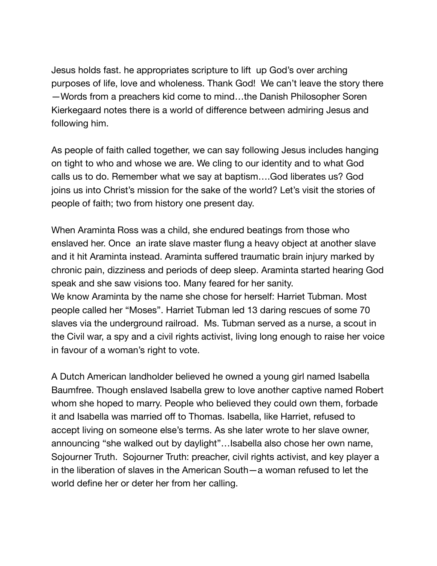Jesus holds fast. he appropriates scripture to lift up God's over arching purposes of life, love and wholeness. Thank God! We can't leave the story there —Words from a preachers kid come to mind…the Danish Philosopher Soren Kierkegaard notes there is a world of difference between admiring Jesus and following him.

As people of faith called together, we can say following Jesus includes hanging on tight to who and whose we are. We cling to our identity and to what God calls us to do. Remember what we say at baptism….God liberates us? God joins us into Christ's mission for the sake of the world? Let's visit the stories of people of faith; two from history one present day.

When Araminta Ross was a child, she endured beatings from those who enslaved her. Once an irate slave master flung a heavy object at another slave and it hit Araminta instead. Araminta suffered traumatic brain injury marked by chronic pain, dizziness and periods of deep sleep. Araminta started hearing God speak and she saw visions too. Many feared for her sanity. We know Araminta by the name she chose for herself: Harriet Tubman. Most people called her "Moses". Harriet Tubman led 13 daring rescues of some 70 slaves via the underground railroad. Ms. Tubman served as a nurse, a scout in the Civil war, a spy and a civil rights activist, living long enough to raise her voice in favour of a woman's right to vote.

A Dutch American landholder believed he owned a young girl named Isabella Baumfree. Though enslaved Isabella grew to love another captive named Robert whom she hoped to marry. People who believed they could own them, forbade it and Isabella was married off to Thomas. Isabella, like Harriet, refused to accept living on someone else's terms. As she later wrote to her slave owner, announcing "she walked out by daylight"…Isabella also chose her own name, Sojourner Truth. Sojourner Truth: preacher, civil rights activist, and key player a in the liberation of slaves in the American South—a woman refused to let the world define her or deter her from her calling.